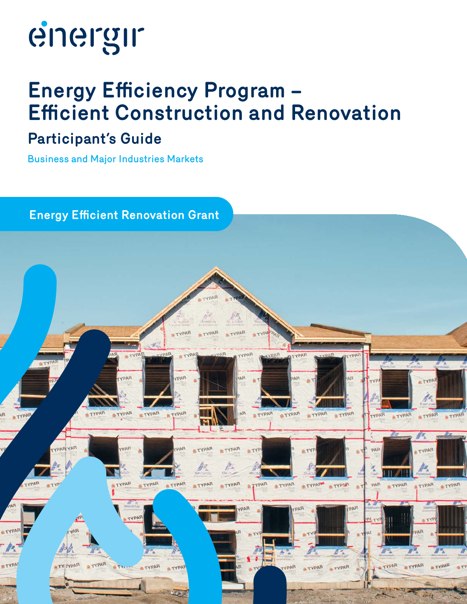

## **Energy Efficiency Program – Efficient Construction and Renovation**

#### **Participant's Guide**

Business and Major Industries Markets

#### **Energy Efficient Renovation Grant**

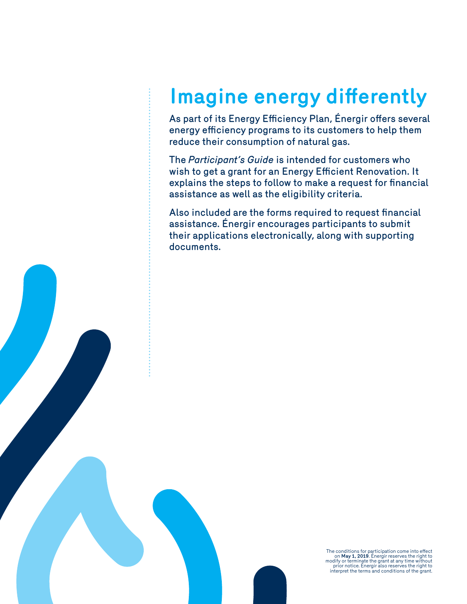# documents.

## **Imagine energy differently**

As part of its Energy Efficiency Plan, Énergir offers several energy efficiency programs to its customers to help them reduce their consumption of natural gas.

The *Participant's Guide* is intended for customers who wish to get a grant for an Energy Efficient Renovation. It explains the steps to follow to make a request for financial assistance as well as the eligibility criteria.

Also included are the forms required to request financial assistance. Énergir encourages participants to submit their applications electronically, along with supporting

> The conditions for participation come into effect on **May 1, 2019**. Énergir reserves the right to modify or terminate the grant at any time without prior notice. Énergir also reserves the right to interpret the terms and conditions of the grant.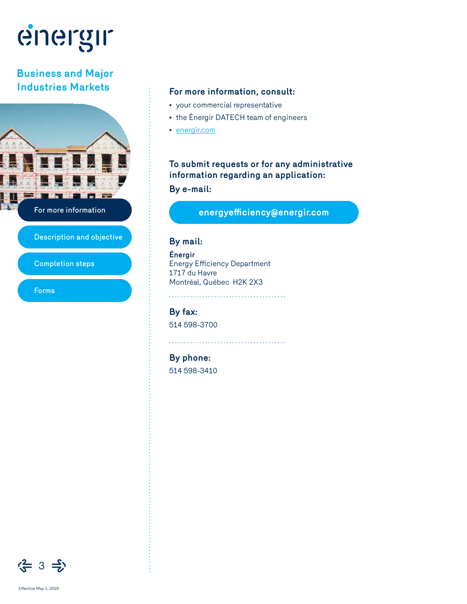#### **Business and Major Industries Markets**



Description and objective<br>Completion steps<br>Forms

#### **For more information, consult:**

- your commercial representative
- the Énergir DATECH team of engineers
- [energir.com](https://www.energir.com/en/)

#### **To submit requests or for any administrative information regarding an application:**

**By e-mail:**

**[energyefficiency@energir.com](mailto:energyefficiency%40energir.com?subject=)**

#### **By mail:**

**Énergir** Energy Efficiency Department 1717 du Havre Montréal, Québec H2K 2X3

**By fax:**

514 598-3700

. . . . . . . . . . . . . . . . . . . .

**By phone:**

514 598-3410

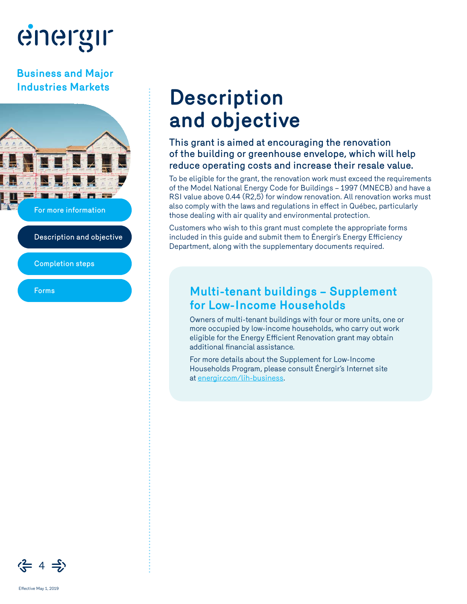#### **Business and Major Industries Markets**



Description and objective

Completion steps

## **Description and objective**

#### This grant is aimed at encouraging the renovation of the building or greenhouse envelope, which will help reduce operating costs and increase their resale value.

To be eligible for the grant, the renovation work must exceed the requirements of the Model National Energy Code for Buildings – 1997 (MNECB) and have a RSI value above 0.44 (R2,5) for window renovation. All renovation works must also comply with the laws and regulations in effect in Québec, particularly those dealing with air quality and environmental protection.

Customers who wish to this grant must complete the appropriate forms included in this guide and submit them to Énergir's Energy Efficiency Department, along with the supplementary documents required.

#### **Multi-tenant buildings – Supplement for Low-Income Households**

Owners of multi-tenant buildings with four or more units, one or more occupied by low-income households, who carry out work eligible for the Energy Efficient Renovation grant may obtain additional financial assistance.

For more details about the Supplement for Low-Income Households Program, please consult Énergir's Internet site at [energir.com/lih-business.](https://www.energir.com/en/business/grants/energy-efficiency-programs/supplement-for-low-income-household/)

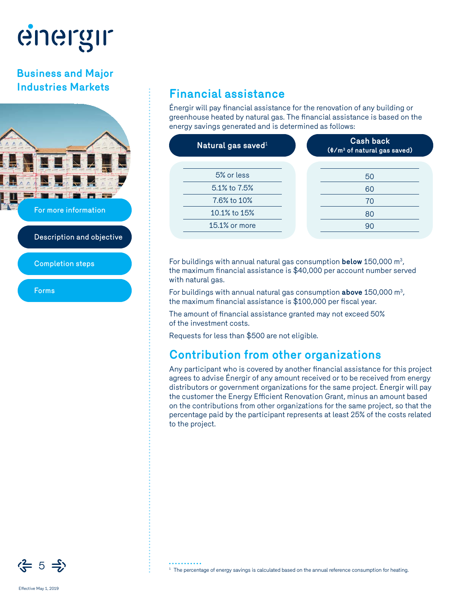#### **Business and Major Industries Markets**



#### Completion steps

#### **Financial assistance**

Énergir will pay financial assistance for the renovation of any building or greenhouse heated by natural gas. The financial assistance is based on the energy savings generated and is determined as follows:1

| <b>Cash back</b><br>$(*/m3$ of natural gas saved) |
|---------------------------------------------------|
| 50                                                |
| 60                                                |
| 70                                                |
| 80                                                |
| 90                                                |
|                                                   |

For buildings with annual natural gas consumption **below** 150,000 m3, the maximum financial assistance is \$40,000 per account number served with natural gas.

For buildings with annual natural gas consumption **above** 150,000 m3, the maximum financial assistance is \$100,000 per fiscal year.

The amount of financial assistance granted may not exceed 50% of the investment costs.

Requests for less than \$500 are not eligible.

#### **Contribution from other organizations**

Any participant who is covered by another financial assistance for this project agrees to advise Énergir of any amount received or to be received from energy distributors or government organizations for the same project. Énergir will pay the customer the Energy Efficient Renovation Grant, minus an amount based on the contributions from other organizations for the same project, so that the percentage paid by the participant represents at least 25% of the costs related to the project.



<sup>1</sup> The percentage of energy savings is calculated based on the annual reference consumption for heating.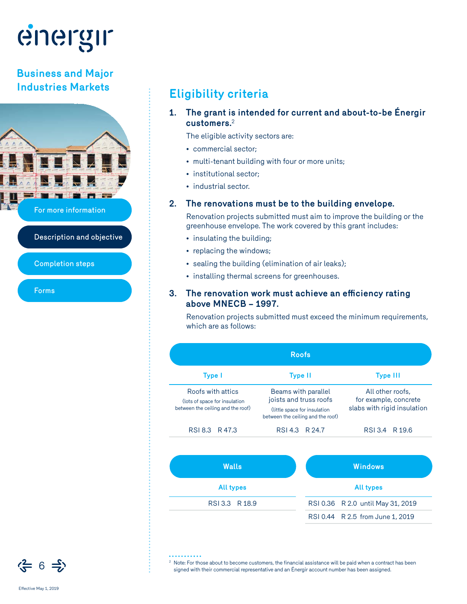#### **Business and Major Industries Markets**



Description and objective

Completion steps

#### **Eligibility criteria**

**1. The grant is intended for current and about-to-be Énergir customers.**<sup>2</sup>

The eligible activity sectors are:

- commercial sector;
- multi-tenant building with four or more units;
- institutional sector;
- industrial sector.

#### **2. The renovations must be to the building envelope.**

Renovation projects submitted must aim to improve the building or the greenhouse envelope. The work covered by this grant includes:

- insulating the building;
- replacing the windows;
- sealing the building (elimination of air leaks);
- installing thermal screens for greenhouses.

#### **3. The renovation work must achieve an efficiency rating above MNECB – 1997.**

Renovation projects submitted must exceed the minimum requirements, which are as follows:

| <b>Roofs</b>                                                                            |                                                                                                                    |          |                                                                          |  |
|-----------------------------------------------------------------------------------------|--------------------------------------------------------------------------------------------------------------------|----------|--------------------------------------------------------------------------|--|
| Type I                                                                                  | <b>Type II</b>                                                                                                     |          | <b>Type III</b>                                                          |  |
| Roofs with attics<br>(lots of space for insulation<br>between the ceiling and the roof) | Beams with parallel<br>joists and truss roofs<br>(little space for insulation<br>between the ceiling and the roof) |          | All other roofs,<br>for example, concrete<br>slabs with rigid insulation |  |
| RSI 8.3 R 47.3                                                                          | RSI 4.3 R 24.7                                                                                                     |          | RSI 3.4 R 19.6                                                           |  |
| Walls                                                                                   |                                                                                                                    |          | <b>Windows</b>                                                           |  |
| <b>All types</b>                                                                        |                                                                                                                    |          | <b>All types</b>                                                         |  |
| <b>RSI 3.3</b><br>R 18.9                                                                |                                                                                                                    | RSI 0.36 | R 2.0 until May 31, 2019                                                 |  |
|                                                                                         |                                                                                                                    |          | RSI 0.44 R 2.5 from June 1, 2019                                         |  |

<sup>2</sup> Note: For those about to become customers, the financial assistance will be paid when a contract has been signed with their commercial representative and an Énergir account number has been assigned.

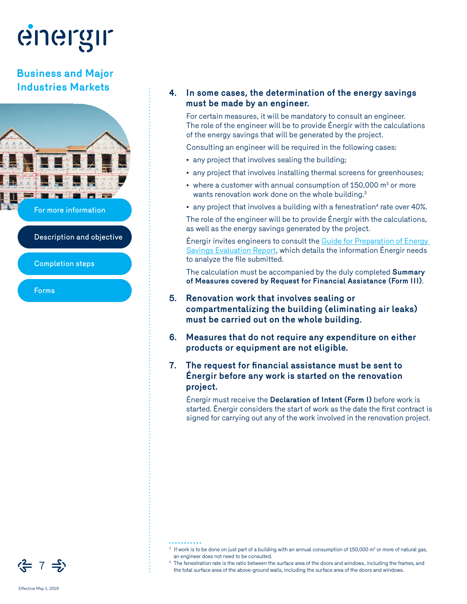#### **Business and Major Industries Markets**



Description and objective

Completion steps

#### **4. In some cases, the determination of the energy savings must be made by an engineer.**

For certain measures, it will be mandatory to consult an engineer. The role of the engineer will be to provide Énergir with the calculations of the energy savings that will be generated by the project.

Consulting an engineer will be required in the following cases:

- any project that involves sealing the building;
- any project that involves installing thermal screens for greenhouses;
- where a customer with annual consumption of  $150,000$  m<sup>3</sup> or more wants renovation work done on the whole building.<sup>3</sup>
- any project that involves a building with a fenestration<sup>4</sup> rate over  $40\%$ .

The role of the engineer will be to provide Énergir with the calculations, as well as the energy savings generated by the project.

Énergir invites engineers to consult the [Guide for Preparation of Energy](https://www.energir.com/~/media/Files/Affaires/EE_Programmes/Renovation_ecoenergetique/PE233_Renovation_guide-economies_ANG)  [Savings Evaluation Report,](https://www.energir.com/~/media/Files/Affaires/EE_Programmes/Renovation_ecoenergetique/PE233_Renovation_guide-economies_ANG) which details the information Énergir needs to analyze the file submitted.

The calculation must be accompanied by the duly completed **Summary of Measures covered by Request for Financial Assistance (Form III)**.

- **5. Renovation work that involves sealing or compartmentalizing the building (eliminating air leaks) must be carried out on the whole building.**
- **6. Measures that do not require any expenditure on either products or equipment are not eligible.**
- **7. The request for financial assistance must be sent to Énergir before any work is started on the renovation project.**

Énergir must receive the **Declaration of Intent (Form I)** before work is started. Énergir considers the start of work as the date the first contract is signed for carrying out any of the work involved in the renovation project.

- $3\,$  If work is to be done on just part of a building with an annual consumption of 150,000 m $^3$  or more of natural gas, an engineer does not need to be consulted.
- <sup>4</sup> The fenestration rate is the ratio between the surface area of the doors and windows, including the frames, and the total surface area of the above-ground walls, including the surface area of the doors and windows.

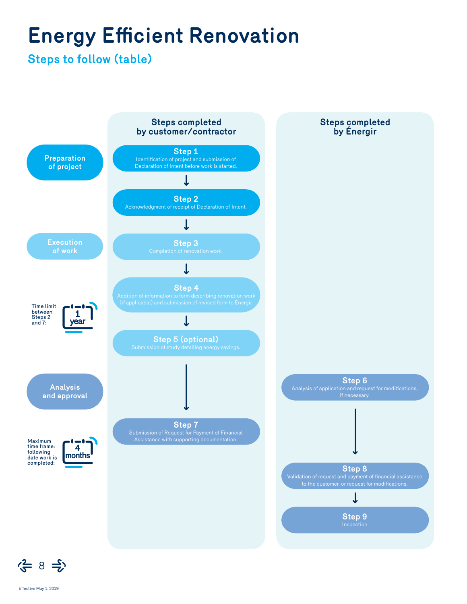## **Energy Efficient Renovation**

#### **Steps to follow (table)**





Effective May 1, 2019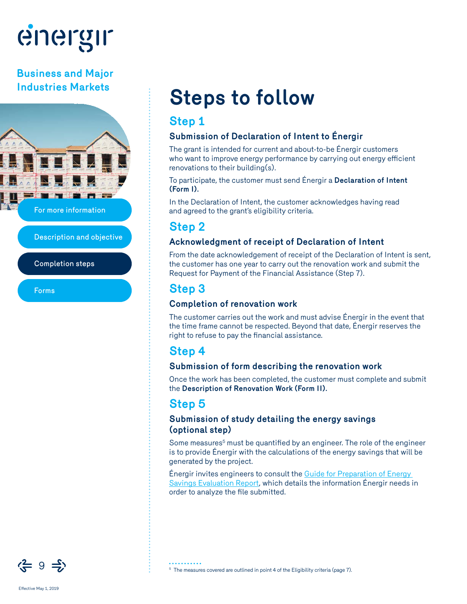#### **Business and Major Industries Markets**



Description and objective

Completion steps

## **Steps to follow**

#### **Step 1**

#### **Submission of Declaration of Intent to Énergir**

The grant is intended for current and about-to-be Énergir customers who want to improve energy performance by carrying out energy efficient renovations to their building(s).

To participate, the customer must send Énergir a **Declaration of Intent (Form I).**

In the Declaration of Intent, the customer acknowledges having read and agreed to the grant's eligibility criteria.

#### **Step 2**

#### **Acknowledgment of receipt of Declaration of Intent**

From the date acknowledgement of receipt of the Declaration of Intent is sent, the customer has one year to carry out the renovation work and submit the Request for Payment of the Financial Assistance (Step 7).

#### **Step 3**

#### **Completion of renovation work**

The customer carries out the work and must advise Énergir in the event that the time frame cannot be respected. Beyond that date, Énergir reserves the right to refuse to pay the financial assistance.

#### **Step 4**

#### **Submission of form describing the renovation work**

Once the work has been completed, the customer must complete and submit the **Description of Renovation Work (Form II).**

#### **Step 5**

#### **Submission of study detailing the energy savings (optional step)**

Some measures<sup>5</sup> must be quantified by an engineer. The role of the engineer is to provide Énergir with the calculations of the energy savings that will be generated by the project.

Énergir invites engineers to consult the Guide for Preparation of Energy Savings Evaluation Report, which details the information Énergir needs in order to analyze the file submitted.



<sup>5</sup> The measures covered are outlined in point 4 of the Eligibility criteria (page 7).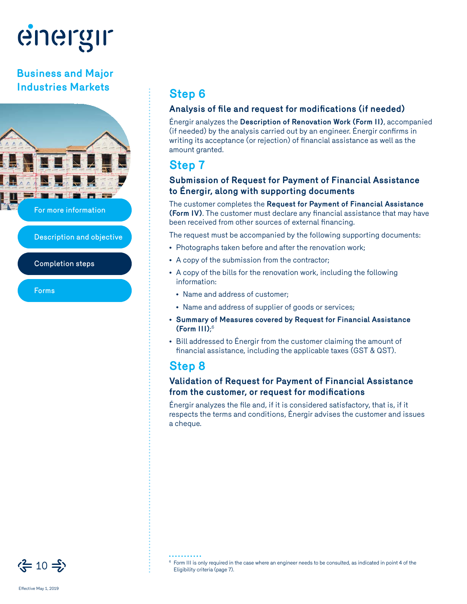#### **Business and Major Industries Markets**



Description and objective

#### Completion steps

#### **Step 6**

#### **Analysis of file and request for modifications (if needed)**

Énergir analyzes the **Description of Renovation Work (Form II)**, accompanied (if needed) by the analysis carried out by an engineer. Énergir confirms in writing its acceptance (or rejection) of financial assistance as well as the amount granted.

#### **Step 7**

#### **Submission of Request for Payment of Financial Assistance to Énergir, along with supporting documents**

The customer completes the **Request for Payment of Financial Assistance (Form IV)**. The customer must declare any financial assistance that may have been received from other sources of external financing.

The request must be accompanied by the following supporting documents:

- Photographs taken before and after the renovation work;
- A copy of the submission from the contractor;
- A copy of the bills for the renovation work, including the following information:
	- Name and address of customer;
	- Name and address of supplier of goods or services;
- **Summary of Measures covered by Request for Financial Assistance (Form III)**; 6
- Bill addressed to Énergir from the customer claiming the amount of financial assistance, including the applicable taxes (GST & QST).

#### **Step 8**

#### **Validation of Request for Payment of Financial Assistance from the customer, or request for modifications**

Énergir analyzes the file and, if it is considered satisfactory, that is, if it respects the terms and conditions, Énergir advises the customer and issues a cheque.



<sup>6</sup> Form III is only required in the case where an engineer needs to be consulted, as indicated in point 4 of the Eligibility criteria (page 7).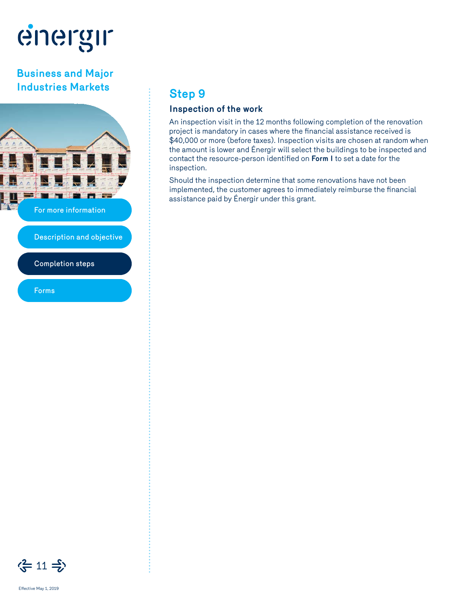#### **Business and Major Industries Markets**



Description and objective

#### Completion steps

#### **Step 9**

#### **Inspection of the work**

An inspection visit in the 12 months following completion of the renovation project is mandatory in cases where the financial assistance received is \$40,000 or more (before taxes). Inspection visits are chosen at random when the amount is lower and Énergir will select the buildings to be inspected and contact the resource-person identified on **Form I** to set a date for the inspection.

Should the inspection determine that some renovations have not been implemented, the customer agrees to immediately reimburse the financial assistance paid by Énergir under this grant.

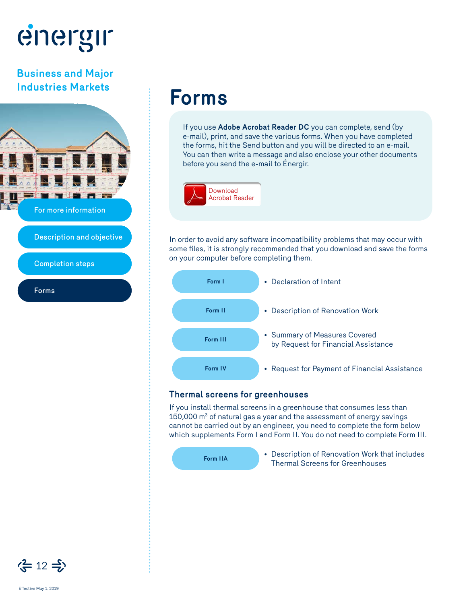#### **Business and Major Industries Markets**



Description and objective

Forms

## **Forms**

If you use **Adobe Acrobat Reader DC** you can complete, send (by e-mail), print, and save the various forms. When you have completed the forms, hit the Send button and you will be directed to an e-mail. You can then write a message and also enclose your other documents before you send the e-mail to Énergir.



In order to avoid any software incompatibility problems that may occur with some files, it is strongly recommended that you download and save the forms on your computer before completing them.



#### **Thermal screens for greenhouses**

If you install thermal screens in a greenhouse that consumes less than  $150,000$  m<sup>3</sup> of natural gas a year and the assessment of energy savings cannot be carried out by an engineer, you need to complete the form below which supplements Form I and Form II. You do not need to complete Form III.

**[Form IIA](http://www.energir.com/~/media/Files/Affaires/EE_Programmes/Renovation_ecoenergetique/PE233_Renovation_FIIA_ANG.pdf)** • Description of Renovation Work that includes Thermal Screens for Greenhouses